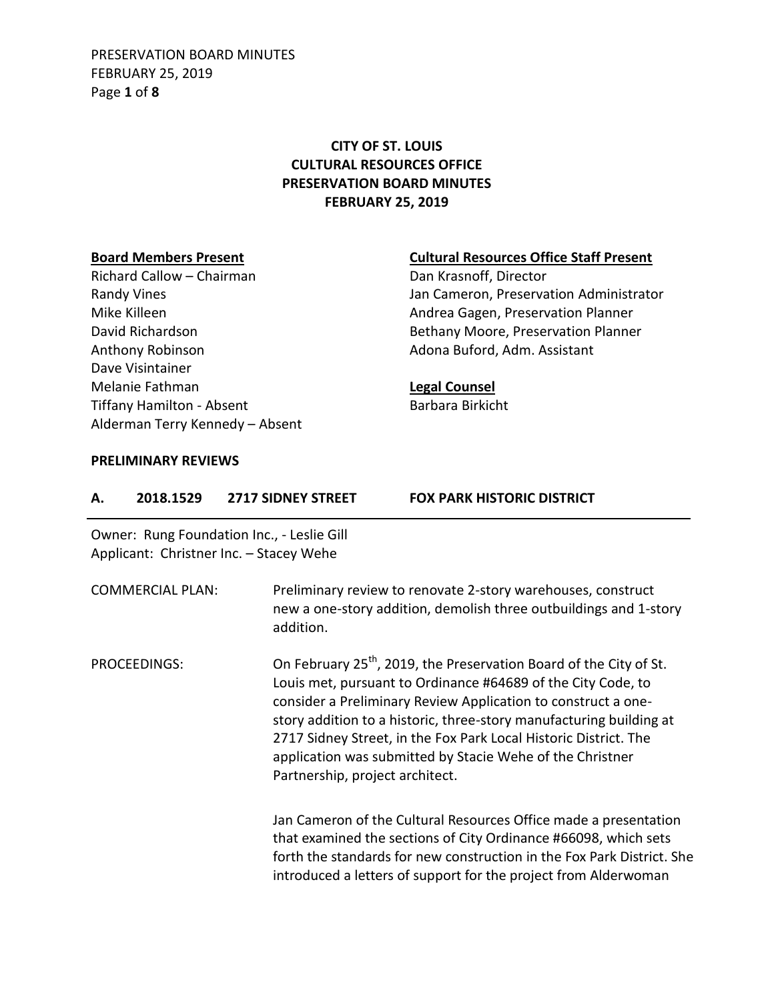PRESERVATION BOARD MINUTES FEBRUARY 25, 2019 Page **1** of **8**

## **CITY OF ST. LOUIS CULTURAL RESOURCES OFFICE PRESERVATION BOARD MINUTES FEBRUARY 25, 2019**

Richard Callow – Chairman Dan Krasnoff, Director Anthony Robinson **Adona Buford, Adm. Assistant** Dave Visintainer Melanie Fathman **Legal Counsel** Tiffany Hamilton - Absent Barbara Birkicht Alderman Terry Kennedy – Absent

#### **Board Members Present Cultural Resources Office Staff Present**

Randy Vines **National Communistrator** Jan Cameron, Preservation Administrator Mike Killeen **Andrea Gagen, Preservation Planner** Andrea Gagen, Preservation Planner David Richardson **Bethany Moore, Preservation Planner** 

#### **PRELIMINARY REVIEWS**

| А. | 2018.1529               | <b>2717 SIDNEY STREET</b>                                                             | <b>FOX PARK HISTORIC DISTRICT</b>                                                                                                                                                                                                                                                                                                                                                                                       |
|----|-------------------------|---------------------------------------------------------------------------------------|-------------------------------------------------------------------------------------------------------------------------------------------------------------------------------------------------------------------------------------------------------------------------------------------------------------------------------------------------------------------------------------------------------------------------|
|    |                         | Owner: Rung Foundation Inc., - Leslie Gill<br>Applicant: Christner Inc. - Stacey Wehe |                                                                                                                                                                                                                                                                                                                                                                                                                         |
|    | <b>COMMERCIAL PLAN:</b> | addition.                                                                             | Preliminary review to renovate 2-story warehouses, construct<br>new a one-story addition, demolish three outbuildings and 1-story                                                                                                                                                                                                                                                                                       |
|    | PROCEEDINGS:            | Partnership, project architect.                                                       | On February 25 <sup>th</sup> , 2019, the Preservation Board of the City of St.<br>Louis met, pursuant to Ordinance #64689 of the City Code, to<br>consider a Preliminary Review Application to construct a one-<br>story addition to a historic, three-story manufacturing building at<br>2717 Sidney Street, in the Fox Park Local Historic District. The<br>application was submitted by Stacie Wehe of the Christner |
|    |                         |                                                                                       | Jan Cameron of the Cultural Resources Office made a presentation<br>that examined the sections of City Ordinance #66098, which sets<br>forth the standards for new construction in the Fox Park District. She<br>introduced a letters of support for the project from Alderwoman                                                                                                                                        |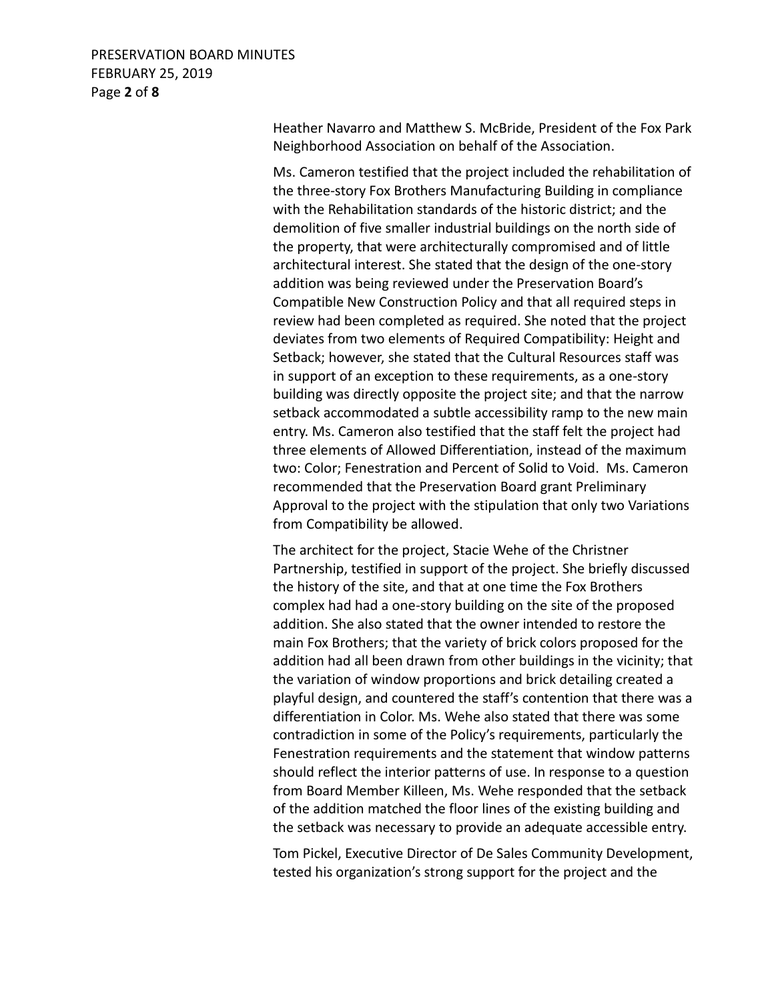### PRESERVATION BOARD MINUTES FEBRUARY 25, 2019 Page **2** of **8**

Heather Navarro and Matthew S. McBride, President of the Fox Park Neighborhood Association on behalf of the Association.

Ms. Cameron testified that the project included the rehabilitation of the three-story Fox Brothers Manufacturing Building in compliance with the Rehabilitation standards of the historic district; and the demolition of five smaller industrial buildings on the north side of the property, that were architecturally compromised and of little architectural interest. She stated that the design of the one-story addition was being reviewed under the Preservation Board's Compatible New Construction Policy and that all required steps in review had been completed as required. She noted that the project deviates from two elements of Required Compatibility: Height and Setback; however, she stated that the Cultural Resources staff was in support of an exception to these requirements, as a one-story building was directly opposite the project site; and that the narrow setback accommodated a subtle accessibility ramp to the new main entry. Ms. Cameron also testified that the staff felt the project had three elements of Allowed Differentiation, instead of the maximum two: Color; Fenestration and Percent of Solid to Void. Ms. Cameron recommended that the Preservation Board grant Preliminary Approval to the project with the stipulation that only two Variations from Compatibility be allowed.

The architect for the project, Stacie Wehe of the Christner Partnership, testified in support of the project. She briefly discussed the history of the site, and that at one time the Fox Brothers complex had had a one-story building on the site of the proposed addition. She also stated that the owner intended to restore the main Fox Brothers; that the variety of brick colors proposed for the addition had all been drawn from other buildings in the vicinity; that the variation of window proportions and brick detailing created a playful design, and countered the staff's contention that there was a differentiation in Color. Ms. Wehe also stated that there was some contradiction in some of the Policy's requirements, particularly the Fenestration requirements and the statement that window patterns should reflect the interior patterns of use. In response to a question from Board Member Killeen, Ms. Wehe responded that the setback of the addition matched the floor lines of the existing building and the setback was necessary to provide an adequate accessible entry.

Tom Pickel, Executive Director of De Sales Community Development, tested his organization's strong support for the project and the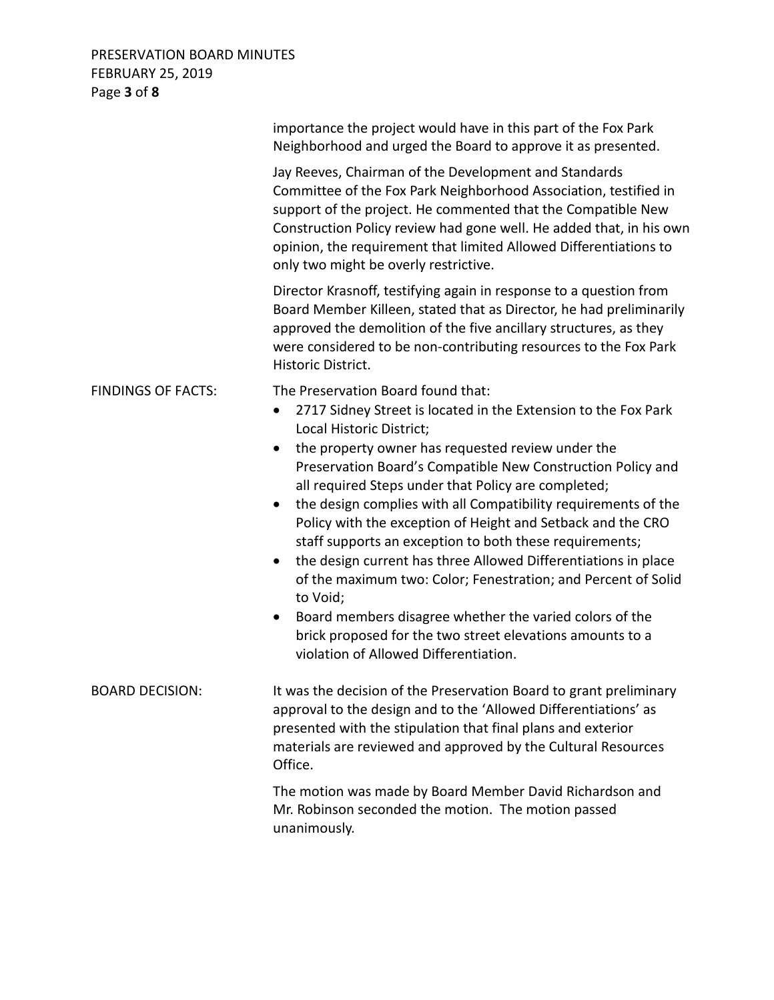## PRESERVATION BOARD MINUTES FEBRUARY 25, 2019 Page **3** of **8**

|                           | importance the project would have in this part of the Fox Park<br>Neighborhood and urged the Board to approve it as presented.                                                                                                                                                                                                                                                                                                                                                                                                                                                                                                                                                                                                                                                                                                                                              |
|---------------------------|-----------------------------------------------------------------------------------------------------------------------------------------------------------------------------------------------------------------------------------------------------------------------------------------------------------------------------------------------------------------------------------------------------------------------------------------------------------------------------------------------------------------------------------------------------------------------------------------------------------------------------------------------------------------------------------------------------------------------------------------------------------------------------------------------------------------------------------------------------------------------------|
|                           | Jay Reeves, Chairman of the Development and Standards<br>Committee of the Fox Park Neighborhood Association, testified in<br>support of the project. He commented that the Compatible New<br>Construction Policy review had gone well. He added that, in his own<br>opinion, the requirement that limited Allowed Differentiations to<br>only two might be overly restrictive.                                                                                                                                                                                                                                                                                                                                                                                                                                                                                              |
|                           | Director Krasnoff, testifying again in response to a question from<br>Board Member Killeen, stated that as Director, he had preliminarily<br>approved the demolition of the five ancillary structures, as they<br>were considered to be non-contributing resources to the Fox Park<br>Historic District.                                                                                                                                                                                                                                                                                                                                                                                                                                                                                                                                                                    |
| <b>FINDINGS OF FACTS:</b> | The Preservation Board found that:<br>2717 Sidney Street is located in the Extension to the Fox Park<br>$\bullet$<br>Local Historic District;<br>the property owner has requested review under the<br>Preservation Board's Compatible New Construction Policy and<br>all required Steps under that Policy are completed;<br>the design complies with all Compatibility requirements of the<br>$\bullet$<br>Policy with the exception of Height and Setback and the CRO<br>staff supports an exception to both these requirements;<br>the design current has three Allowed Differentiations in place<br>$\bullet$<br>of the maximum two: Color; Fenestration; and Percent of Solid<br>to Void;<br>Board members disagree whether the varied colors of the<br>$\bullet$<br>brick proposed for the two street elevations amounts to a<br>violation of Allowed Differentiation. |
| <b>BOARD DECISION:</b>    | It was the decision of the Preservation Board to grant preliminary<br>approval to the design and to the 'Allowed Differentiations' as<br>presented with the stipulation that final plans and exterior<br>materials are reviewed and approved by the Cultural Resources<br>Office.                                                                                                                                                                                                                                                                                                                                                                                                                                                                                                                                                                                           |
|                           | The motion was made by Board Member David Richardson and<br>Mr. Robinson seconded the motion. The motion passed<br>unanimously.                                                                                                                                                                                                                                                                                                                                                                                                                                                                                                                                                                                                                                                                                                                                             |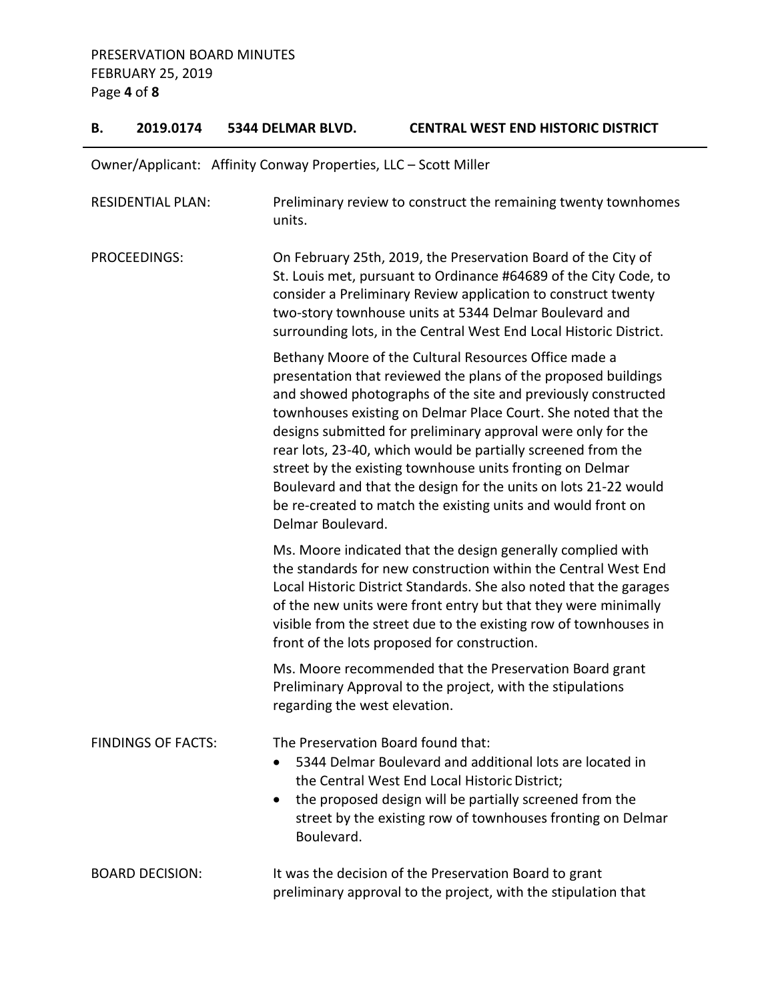### **B. 2019.0174 5344 DELMAR BLVD. CENTRAL WEST END HISTORIC DISTRICT**

| Owner/Applicant: Affinity Conway Properties, LLC - Scott Miller |  |  |  |
|-----------------------------------------------------------------|--|--|--|
|-----------------------------------------------------------------|--|--|--|

| <b>RESIDENTIAL PLAN:</b>  | Preliminary review to construct the remaining twenty townhomes<br>units.                                                                                                                                                                                                                                                                                                                                                                                                                                                                                                                                       |
|---------------------------|----------------------------------------------------------------------------------------------------------------------------------------------------------------------------------------------------------------------------------------------------------------------------------------------------------------------------------------------------------------------------------------------------------------------------------------------------------------------------------------------------------------------------------------------------------------------------------------------------------------|
| PROCEEDINGS:              | On February 25th, 2019, the Preservation Board of the City of<br>St. Louis met, pursuant to Ordinance #64689 of the City Code, to<br>consider a Preliminary Review application to construct twenty<br>two-story townhouse units at 5344 Delmar Boulevard and<br>surrounding lots, in the Central West End Local Historic District.                                                                                                                                                                                                                                                                             |
|                           | Bethany Moore of the Cultural Resources Office made a<br>presentation that reviewed the plans of the proposed buildings<br>and showed photographs of the site and previously constructed<br>townhouses existing on Delmar Place Court. She noted that the<br>designs submitted for preliminary approval were only for the<br>rear lots, 23-40, which would be partially screened from the<br>street by the existing townhouse units fronting on Delmar<br>Boulevard and that the design for the units on lots 21-22 would<br>be re-created to match the existing units and would front on<br>Delmar Boulevard. |
|                           | Ms. Moore indicated that the design generally complied with<br>the standards for new construction within the Central West End<br>Local Historic District Standards. She also noted that the garages<br>of the new units were front entry but that they were minimally<br>visible from the street due to the existing row of townhouses in<br>front of the lots proposed for construction.                                                                                                                                                                                                                      |
|                           | Ms. Moore recommended that the Preservation Board grant<br>Preliminary Approval to the project, with the stipulations<br>regarding the west elevation.                                                                                                                                                                                                                                                                                                                                                                                                                                                         |
| <b>FINDINGS OF FACTS:</b> | The Preservation Board found that:<br>5344 Delmar Boulevard and additional lots are located in<br>the Central West End Local Historic District;<br>the proposed design will be partially screened from the<br>$\bullet$<br>street by the existing row of townhouses fronting on Delmar<br>Boulevard.                                                                                                                                                                                                                                                                                                           |
| <b>BOARD DECISION:</b>    | It was the decision of the Preservation Board to grant<br>preliminary approval to the project, with the stipulation that                                                                                                                                                                                                                                                                                                                                                                                                                                                                                       |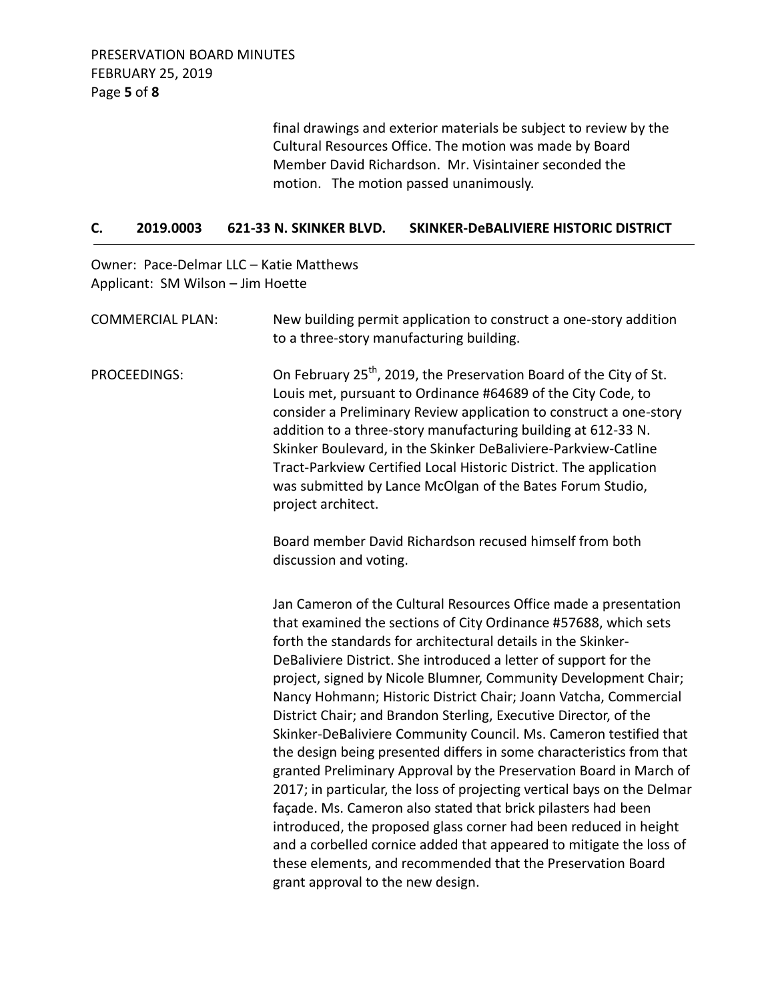final drawings and exterior materials be subject to review by the Cultural Resources Office. The motion was made by Board Member David Richardson. Mr. Visintainer seconded the motion. The motion passed unanimously.

#### **C. 2019.0003 621-33 N. SKINKER BLVD. SKINKER-DeBALIVIERE HISTORIC DISTRICT**

Owner: Pace-Delmar LLC – Katie Matthews Applicant: SM Wilson – Jim Hoette

| <b>COMMERCIAL PLAN:</b> | New building permit application to construct a one-story addition<br>to a three-story manufacturing building.                                                                                                                                                                                                                                                                                                                                                                                                                                                                                                                                                                                                                                                                                                                                                                                                                                                                                                                                                                                     |
|-------------------------|---------------------------------------------------------------------------------------------------------------------------------------------------------------------------------------------------------------------------------------------------------------------------------------------------------------------------------------------------------------------------------------------------------------------------------------------------------------------------------------------------------------------------------------------------------------------------------------------------------------------------------------------------------------------------------------------------------------------------------------------------------------------------------------------------------------------------------------------------------------------------------------------------------------------------------------------------------------------------------------------------------------------------------------------------------------------------------------------------|
| <b>PROCEEDINGS:</b>     | On February 25 <sup>th</sup> , 2019, the Preservation Board of the City of St.<br>Louis met, pursuant to Ordinance #64689 of the City Code, to<br>consider a Preliminary Review application to construct a one-story<br>addition to a three-story manufacturing building at 612-33 N.<br>Skinker Boulevard, in the Skinker DeBaliviere-Parkview-Catline<br>Tract-Parkview Certified Local Historic District. The application<br>was submitted by Lance McOlgan of the Bates Forum Studio,<br>project architect.                                                                                                                                                                                                                                                                                                                                                                                                                                                                                                                                                                                   |
|                         | Board member David Richardson recused himself from both<br>discussion and voting.                                                                                                                                                                                                                                                                                                                                                                                                                                                                                                                                                                                                                                                                                                                                                                                                                                                                                                                                                                                                                 |
|                         | Jan Cameron of the Cultural Resources Office made a presentation<br>that examined the sections of City Ordinance #57688, which sets<br>forth the standards for architectural details in the Skinker-<br>DeBaliviere District. She introduced a letter of support for the<br>project, signed by Nicole Blumner, Community Development Chair;<br>Nancy Hohmann; Historic District Chair; Joann Vatcha, Commercial<br>District Chair; and Brandon Sterling, Executive Director, of the<br>Skinker-DeBaliviere Community Council. Ms. Cameron testified that<br>the design being presented differs in some characteristics from that<br>granted Preliminary Approval by the Preservation Board in March of<br>2017; in particular, the loss of projecting vertical bays on the Delmar<br>façade. Ms. Cameron also stated that brick pilasters had been<br>introduced, the proposed glass corner had been reduced in height<br>and a corbelled cornice added that appeared to mitigate the loss of<br>these elements, and recommended that the Preservation Board<br>grant approval to the new design. |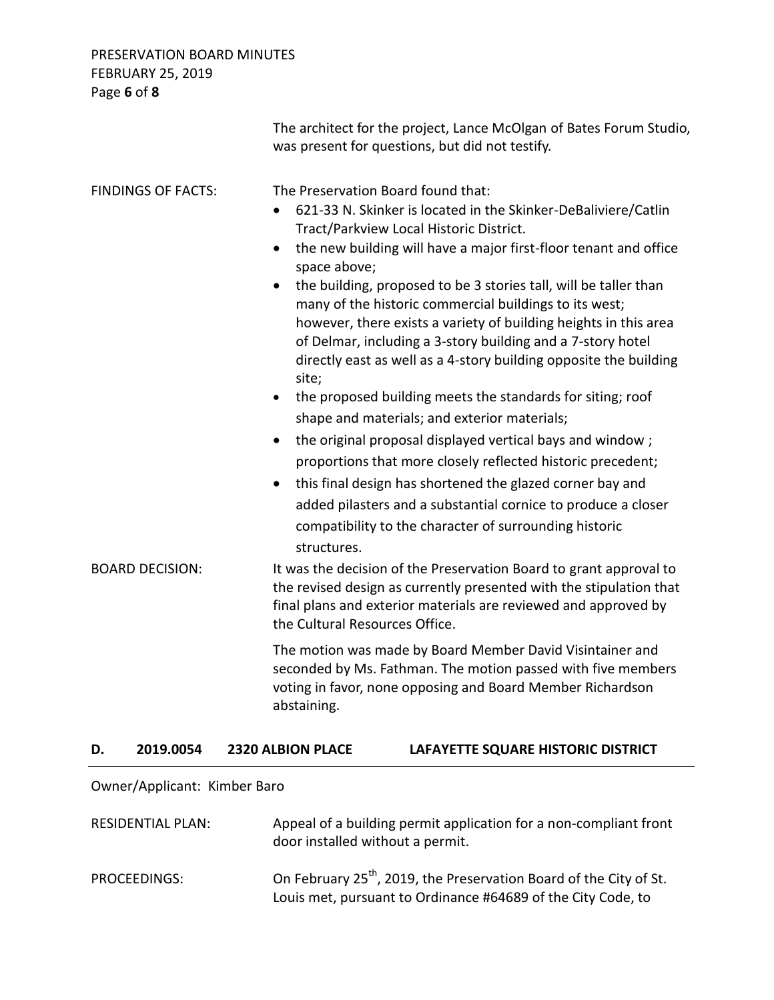## PRESERVATION BOARD MINUTES FEBRUARY 25, 2019 Page **6** of **8**

|                           |                                                                             | The architect for the project, Lance McOlgan of Bates Forum Studio,<br>was present for questions, but did not testify.                                                                                                                                                                                                                                                                                                                                                                                                                                                                                                                                                                                                                                                                                                                                                                                                                                                                      |  |
|---------------------------|-----------------------------------------------------------------------------|---------------------------------------------------------------------------------------------------------------------------------------------------------------------------------------------------------------------------------------------------------------------------------------------------------------------------------------------------------------------------------------------------------------------------------------------------------------------------------------------------------------------------------------------------------------------------------------------------------------------------------------------------------------------------------------------------------------------------------------------------------------------------------------------------------------------------------------------------------------------------------------------------------------------------------------------------------------------------------------------|--|
| <b>FINDINGS OF FACTS:</b> | $\bullet$<br>space above;<br>$\bullet$<br>site;<br>$\bullet$<br>structures. | The Preservation Board found that:<br>621-33 N. Skinker is located in the Skinker-DeBaliviere/Catlin<br>Tract/Parkview Local Historic District.<br>the new building will have a major first-floor tenant and office<br>the building, proposed to be 3 stories tall, will be taller than<br>many of the historic commercial buildings to its west;<br>however, there exists a variety of building heights in this area<br>of Delmar, including a 3-story building and a 7-story hotel<br>directly east as well as a 4-story building opposite the building<br>the proposed building meets the standards for siting; roof<br>shape and materials; and exterior materials;<br>the original proposal displayed vertical bays and window;<br>proportions that more closely reflected historic precedent;<br>this final design has shortened the glazed corner bay and<br>added pilasters and a substantial cornice to produce a closer<br>compatibility to the character of surrounding historic |  |
| <b>BOARD DECISION:</b>    |                                                                             | It was the decision of the Preservation Board to grant approval to<br>the revised design as currently presented with the stipulation that<br>final plans and exterior materials are reviewed and approved by<br>the Cultural Resources Office.                                                                                                                                                                                                                                                                                                                                                                                                                                                                                                                                                                                                                                                                                                                                              |  |
|                           | abstaining.                                                                 | The motion was made by Board Member David Visintainer and<br>seconded by Ms. Fathman. The motion passed with five members<br>voting in favor, none opposing and Board Member Richardson                                                                                                                                                                                                                                                                                                                                                                                                                                                                                                                                                                                                                                                                                                                                                                                                     |  |
| 2019.0054<br>D.           | <b>2320 ALBION PLACE</b>                                                    | LAFAYETTE SQUARE HISTORIC DISTRICT                                                                                                                                                                                                                                                                                                                                                                                                                                                                                                                                                                                                                                                                                                                                                                                                                                                                                                                                                          |  |

# Owner/Applicant: Kimber Baro

| <b>RESIDENTIAL PLAN:</b> | Appeal of a building permit application for a non-compliant front<br>door installed without a permit.                                          |
|--------------------------|------------------------------------------------------------------------------------------------------------------------------------------------|
| PROCEEDINGS:             | On February 25 <sup>th</sup> , 2019, the Preservation Board of the City of St.<br>Louis met, pursuant to Ordinance #64689 of the City Code, to |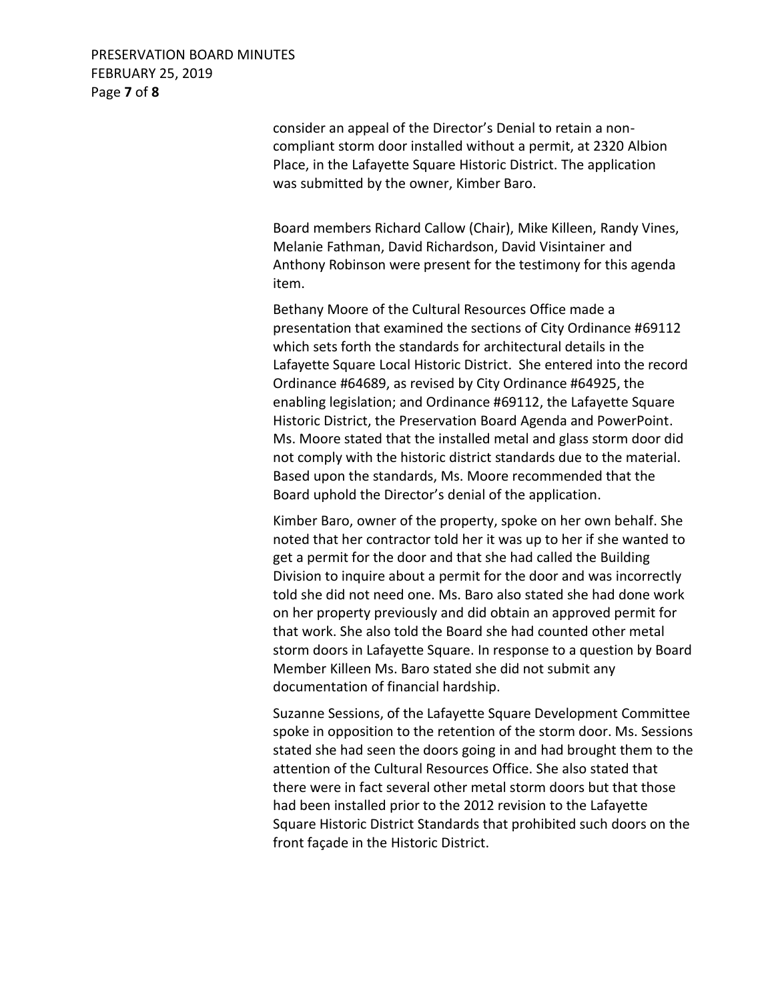### PRESERVATION BOARD MINUTES FEBRUARY 25, 2019 Page **7** of **8**

consider an appeal of the Director's Denial to retain a noncompliant storm door installed without a permit, at 2320 Albion Place, in the Lafayette Square Historic District. The application was submitted by the owner, Kimber Baro.

Board members Richard Callow (Chair), Mike Killeen, Randy Vines, Melanie Fathman, David Richardson, David Visintainer and Anthony Robinson were present for the testimony for this agenda item.

Bethany Moore of the Cultural Resources Office made a presentation that examined the sections of City Ordinance #69112 which sets forth the standards for architectural details in the Lafayette Square Local Historic District. She entered into the record Ordinance #64689, as revised by City Ordinance #64925, the enabling legislation; and Ordinance #69112, the Lafayette Square Historic District, the Preservation Board Agenda and PowerPoint. Ms. Moore stated that the installed metal and glass storm door did not comply with the historic district standards due to the material. Based upon the standards, Ms. Moore recommended that the Board uphold the Director's denial of the application.

Kimber Baro, owner of the property, spoke on her own behalf. She noted that her contractor told her it was up to her if she wanted to get a permit for the door and that she had called the Building Division to inquire about a permit for the door and was incorrectly told she did not need one. Ms. Baro also stated she had done work on her property previously and did obtain an approved permit for that work. She also told the Board she had counted other metal storm doors in Lafayette Square. In response to a question by Board Member Killeen Ms. Baro stated she did not submit any documentation of financial hardship.

Suzanne Sessions, of the Lafayette Square Development Committee spoke in opposition to the retention of the storm door. Ms. Sessions stated she had seen the doors going in and had brought them to the attention of the Cultural Resources Office. She also stated that there were in fact several other metal storm doors but that those had been installed prior to the 2012 revision to the Lafayette Square Historic District Standards that prohibited such doors on the front façade in the Historic District.